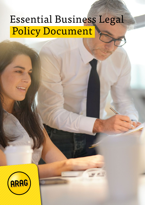# Essential Business Legal Policy Document

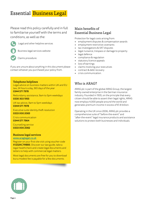# Essential Business Legal

Please read this policy carefully and in full to familiarise yourself with the terms and conditions, as well as the:



Legal and other helpline services

Business legal services website



Claims procedure.

If you are unsure about anything in this document please contact whoever you purchased your policy from.

#### Telephone helplines

Legal advice on business matters within UK and EU law, 24 hours a day, 365 days of the year 0344 571 7978

Redundancy assistance, 9am to 5pm weekdays 0330 303 1955

UK tax advice, 9am to 5pm weekdays 0344 571 7978

Executive suite identity theft resolution 0333 000 2083

Crisis communication 0344 571 7964

Counselling service 0333 000 2082

#### Business legal services

www.araglegal.co.uk

Register on your first site visit using voucher code X1232KC79BB5. Discover our law guide, take a legal healthcheck and create legal documents and letters to help with commercial legal matters.

Most legal documents are free for you to download but a modest fee is payable for a few documents.

### Main benefits of Essential Business Legal

Protection for legal costs arising from:

- employment disputes & compensation awards
- employment restrictive covenants
- tax investigations & VAT disputes
- legal nuisance, trespass or damage to property
- legal defence
- compliance & regulation
- statutory licence appeals
- loss of earnings
- claims involving your executives
- contract & debt recovery
- crisis communication.

### Who is ARAG?

ARAG plc is part of the global ARAG Group, the largest family-owned enterprise in the German insurance industry. Founded in 1935, on the principle that every citizen should be able to assert their legal rights, ARAG now employs 4,000 people around the world and generates premium income in excess of €1.8 billion.

Operating in the UK since 2006, ARAG plc provides a comprehensive suite of "before-the-event" and "after-the-event" legal insurance products and assistance solutions to protect both businesses and individuals.

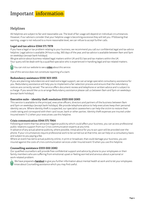# Important information

### Helplines

All helplines are subject to fair and reasonable use. The level of fair usage will depend on individual circumstances. However, if our advisors consider that your helpline usage is becoming excessive they will tell you. If following that warning, usage is not reduced to a more reasonable level, we can refuse to accept further calls.

#### Legal and tax advice 0344 571 7978

If you have a legal or tax problem relating to your business, we recommend you call our confidential legal and tax advice helpline. Legal advice is available 24 hours a day, 365 days of the year, and tax advice is available between 9am and 5pm on weekdays (except bank holidays).

We give advice about business-related legal matters within UK and EU law and tax matters within the UK. Your query will be dealt with by a qualified specialist who is experienced in handling legal and tax-related matters.



You can visit our website to see a **[video](https://www.youtube.com/watch?v=q3P1uwkYXVs&feature=youtu.be)** about this service.

Use of this service does not constitute reporting of a claim.

#### Redundancy assistance 0330 303 1955

If you are planning redundancies and need extra legal support, we can arrange specialist consultancy assistance for you. Redundancy assistance will help you to implement a fair selection process and ensure that the redundancy notices are correctly served. The service offers document review and telephone or written advice and is subject to a charge. If you would like us to arrange Redundancy assistance please call us between 9am and 5pm on weekdays (except bank holidays).

#### Executive suite – identity theft resolution 0333 000 2083

This service is available to the principal, executive officers, directors and partners of the business between 9am and 5pm on weekdays (except bank holidays). We provide telephone advice to help executives keep their personal identity secure. Where identity theft is suspected, our specialist caseworkers can help the victim to restore their credit rating and correspond with their card issuer, bank or other parties. Identity theft expenses are insured under Insured event 11 c) when your executives use this helpline.

#### Crisis communication 0344 571 7964

Following an event that has attracted negative publicity which could affect your business, you can access professional public relations support from our Crisis communication experts at any time.

In advance of any actual adverse publicity, where possible, initial advice for you to act upon will be provided over the phone. If your circumstances require professional work to be carried out at that time, we can help on a consultancy basis and subject to you paying a fee.

Where an event has led to actual publicity online, in print or broadcast, that could damage your business, you are insured against the costs of crisis communication services under Insured event 13 when you use this helpline.

#### Counselling assistance 0333 000 2082

Our qualified counsellors will provide free confidential support and advice by phone to your employees or their family members who are suffering from emotional upset or feeling worried and anxious about a personal or work-related problem.



We have prepared a **[handout](https://www.arag.co.uk/media/graphics/products/bte/commercial/arag_counselling_assistnace.pdf)** to give you further information about mental health at work and to let your employees know about Counselling assistance which you may find useful.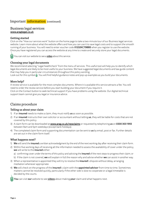### Important information (continued)

#### Business legal services www.araglegal.co.uk

#### Getting started

Click on the "How our services work" button on the home page to take a two-minute tour of our Business legal services website. Learn more about what the website offers and how you can use it to save legal costs and to support the smooth running of your business. You will need to enter voucher code X1232KC79BB5 when you register to use the website. Once you have registered you can access the website at any time to create and securely store your legal documents.

You can visit our website to see a **[video](https://www.youtube.com/watch?v=ex9VuIaxnnw&feature=youtu.be)** about this service.

#### Choosing your legal documents

We recommend selecting "Legal healthcheck" from the menu of services. This useful tool will help you to identify which legal documents are likely to be most useful to your business. We have suggested legal documents and law guide content that may help you in particular circumstances throughout this policy wording.

Look out for this symbol **1**. You will find helpful guidance notes and pop-up examples as you build your documents.

#### More help?

A review service is available for the most complex documents. Where it is available this service attracts a fee. You will need to order the review service before you start building your document if you require it.

Click on the Contact button to seek technical support if you have problems using the website. Our digital technical support team cannot give you legal or insurance advice.

### Claims procedure

#### Telling us about your claim

- 1) If an **insured** needs to make a claim, they must notify **us** as soon as possible.
- 2) If an insured instructs their own solicitor or accountant without telling us, they will be liable for costs that are not covered by this policy.
- 3) A claim form can be downloaded at www.arag.co.uk/newclaims or requested by telephoning us on 0330 303 1955 between 9am and 5pm weekdays (except bank holidays).
- 4) The completed claim form and supporting documentation can be sent to us by email, post or fax. Further details are set out in the claim form itself.

#### What happens next?

- 1) We will send the insured a written acknowledgment by the end of the next working day after receiving their claim form.
- 2) Within five working days of receiving all the information needed to assess the availability of cover under the policy, we will write to the insured either:
	- a) confirming cover under the terms of this policy and advising the *insured* of the next steps to progress their claim; or
	- b) if the claim is not covered, we will explain in full the reason why and advise whether we can assist in another way.
- 3) When a representative is appointed they will try to resolve the *insured's* dispute without delay, arranging mediation whenever appropriate.
- 4) We will check on the progress of the insured's claim with the appointed advisor from time to time. Sometimes matters cannot be resolved quickly, particularly if the other side is slow to cooperate or a legal timetable is decided by the courts.

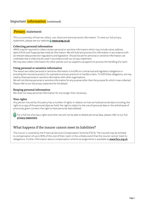### Important information (continued)

### Privacy statement

This is a summary of how we collect, use, share and store personal information. To view our full privacy statement, please see our website www.arag.co.uk

#### Collecting personal information

ARAG may be required to collect certain personal or sensitive information which may include name, address, date of birth and if appropriate medical information. We will hold and process this information in accordance with all relevant data protection regulations and legislation. Should we ask for personal or sensitive information, we undertake that it shall only be used in accordance with our privacy statement.

We may also collect information for other parties such as suppliers we appoint to process the handling of a claim.

#### Using personal or sensitive information

The reason we collect personal or sensitive information is to fulfil our contractual and regulatory obligations in providing this insurance product, for example to process premium or handle a claim. To fulfil these obligations, we may need to share personal or sensitive information with other organisations.

We will not disclose personal or sensitive information for any purpose other than the purpose for which it was collected. Please refer to our full privacy statement for full details.

#### Keeping personal information

We shall not keep personal information for any longer than necessary.

#### Your rights

Any person insured by this policy has a number of rights in relation to how we hold personal data including; the right to a copy of the personal data we hold; the right to object to the use of personal data or the withdrawal of previously given consent; the right to have personal data deleted.

For a full list of privacy rights and when we will not be able to delete personal data, please refer to our full [privacy statement](https://www.arag.co.uk/cookie-policy/).

### What happens if the insurer cannot meet its liabilities?

The insurer is covered by the Financial Services Compensation Scheme (FSCS). The insured may be entitled to compensation of up to 90% of the cost of their claim in the unlikely event that the insurer cannot meet its obligations. Further information about compensation scheme arrangements is available at www.fscs.org.uk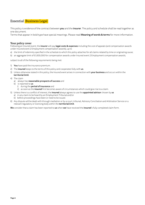### Essential Business Legal

This policy is evidence of the contract between you and the insurer. The policy and schedule shall be read together as one document.

Terms that appear in bold type have special meanings. Please read Meaning of words & terms for more information.

#### Your policy cover

Following an Insured event, the insurer will pay legal costs & expenses including the cost of appeals (and compensation awards under Insured event 2 Employment compensation awards), up to

- a) the limit of indemnity specified in the schedule to which this policy attaches for all claims related by time or originating cause;
- b) an aggregate limit of £1,000,000 for compensation awards under Insured event 2 Employment compensation awards;

subject to all of the following requirements being met:

- 1) You have paid the insurance premium.
- 2) The **insured** keeps to the terms of this policy and cooperates fully with us.
- 3) Unless otherwise stated in this policy, the Insured event arises in connection with your business and occurs within the territorial limit.
- 4) The claim
	- a) always has reasonable prospects of success and
	- b) is reported to us
		- i) during the **period of insurance** and
		- ii) as soon as the insured first becomes aware of circumstances which could give rise to a claim.
- 5) Unless there is a conflict of interest, the insured always agrees to use the appointed advisor chosen by us
	- a) in any claim to be heard by an Employment Tribunal and/or
	- b) before proceedings have been or need to be issued.
- 6) Any dispute will be dealt with through mediation or by a court, tribunal, Advisory Conciliation and Arbitration Service or a relevant regulatory or licensing body within the territorial limit.

We consider that a claim has been reported to us when we have received the insured's fully completed claim form.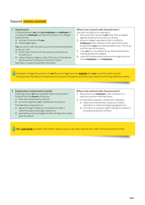### Insured events covered

1 Employment

 A dispute between you and your employee, ex-employee, or a prospective employee, arising from a breach or an alleged breach of their

- a) contract of service with you
- b) related legal rights.

You can claim under the policy as soon as internal procedures as set out in the

- a) ACAS Code of Practice for Disciplinary and Grievance Procedures or
- b) Labour Relations Agency Code of Practice on Disciplinary and Grievance Procedures in Northern Ireland have been or ought to have been concluded.

#### What is not covered under Insured event 1

Any claim arising from or relating to:

- 1) the pursuit of an action by  $you$  other than an appeal against the decision of a court or tribunal
- 2) actual or alleged redundancy that is notified to employees within 180 days of the start of this policy, except where you have had equivalent cover in force up until the start of this policy
- 3) costs you incur to prepare for an internal disciplinary hearing, grievance or appeal
- 4) a pension scheme where actions are brought by ten or more employees or ex-employees.

Examples of legal documents on our Business legal services [website](https://araglegal.secureclient.co.uk/arag/) that you may find useful are the Employment Handbook, Employment Contracts, Discipline and Dismissal Letters and Hiring Staff documents.

#### 2 Employment compensation awards

Following a claim we have accepted under Insured event 1 Employment, the insurer will pay any

- a) basic and compensatory award or
- b) an amount agreed by us in settlement of a dispute.

Provided that compensation is:

- a) agreed through mediation, conciliation or under a settlement approved by us in advance or
- b) awarded by a tribunal judgment after full argument unless given by default.

#### What is not covered under Insured event 2

- 1) Money due to an *employee* under a contract or a statutory provision relating thereto.
- 2) Compensation awards or settlements relating to a) trade union membership, industrial or labour arbitration or collective bargaining agreements
	- b) civil claims or statutory rights relating to trustees of occupational pension schemes.

Our [Law Guide](https://araglegal.secureclient.co.uk/arag/) provides information about how to calculate awards and unfair dismissal awards limits.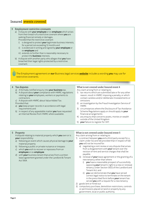### Insured events covered

#### 3 Employment restrictive covenants

a) A dispute with your employee or ex-employee which arises from their breach of a restrictive covenant where you are seeking financial remedy or damages. Provided that the restrictive covenant

- i) is designed to protect **your** legitimate business interests, for a period not exceeding 12 months and
- ii) is evidenced in writing and signed by **your employee** or ex-employee and
- iii) extends no further than is reasonably necessary to protect the **business** interests.
- b) A dispute with another party who alleges that you have breached their legal rights protected by a restrictive covenant.

The Employment agreement on our Business legal services [website](https://araglegal.secureclient.co.uk/arag/) includes a wording you may use for restrictive covenants.

#### 4 Tax disputes

- a) A formally notified enquiry into your business tax.
- b) A dispute about your compliance with HMRC regulations relating to your employees, workers or payments to contractors.
- c) A dispute with HMRC about Value Added Tax. Provided that:
- a) you keep proper records in accordance with legal requirements and
- b) in respect of any appealable matter you have requested an Internal Review from HMRC where available.

#### What is not covered under Insured event 4 Any claim arising from or relating to:

- 1) tax returns which are submitted late or for any other reason, result in HMRC imposing a penalty, or which contain careless and/or deliberate misstatements or omissions
- 2) an investigation by the Fraud Investigation Service of HMRC
- 3) circumstances where the Disclosure of Tax Avoidance Scheme Regulations apply or should apply to your financial arrangements
- 4) any enquiry that concerns assets, monies or wealth outside of the United Kingdom
- 5) your failure to register for VAT.

#### 5 Property

 A dispute relating to material property which you own or is your responsibility:

- a) following an event which causes physical damage to **your** material property
- b) following a public or private nuisance or trespass
- c) which you wish to recover or repossess from an employee or ex-employee

d) with your business tenant that arises from a written lease agreement granted under the Landlord & Tenant Act 1954.

#### What is not covered under Insured event 5 Any claim arising from or relating to:

- 1) a contract between **you** and a third party except for a claim under 5c) and 5d) provided that in respect of 5d) you will not be insured for:
	- a) negotiating a rent review or any dispute that arises from a disagreement with your tenant over the revision of rent and service charges that shall be payable.
	- b) renewal of your lease agreement or the granting of a new tenancy other than where
		- i) you have a reasonable prospect of successfully opposing your tenant's right to a new or renewal tenancy under Section 30(1) of the Landlord and Tenant Act; and
		- ii) you can demonstrate that you have served correct legal notice to terminate on the tenant in the prescribed form before **your** tenant has served you with a request for a new tenancy
- 2) goods lent or hired out
- 3) compulsory purchase, demolition restrictions, controls or permissions placed on land or property by any government, local or public authority.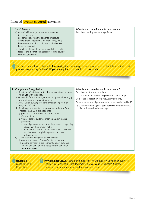### Insured **events covered** (continued)

#### 6 Legal defence

- a) A criminal investigation and/or enquiry by:
	- i) the police or

 ii) other body with the power to prosecute where it is suspected that an offence may have been committed that could lead to the insured being prosecuted.

b) The charge for an offence or alleged offence which leads to the insured being prosecuted in a court of criminal jurisdiction.

#### What is not covered under Insured event 6 Any claim relating to a parking offence.

The Government have published a **[four-part guide](https://www.gov.uk/government/publications/going-to-a-criminal-court-support-for-defendants)** containing information and advice about the criminal court process that you may find useful if you are required to appear in court as a defendant.

#### 7 Compliance & regulation

- a) Receipt of a Statutory Notice that imposes terms against which you wish to appeal.
- b) Notice of a formal investigation or disciplinary hearing by any professional or regulatory body.
- c) A civil action alleging wrongful arrest arising from an allegation of theft.
- d) A claim against you for compensation under the Data Protection Act 2018 provided that
	- i) **you** are registered with the Information Commissioner
	- ii) **you** are able to evidence that **you** have in place a process to
		- investigate complaints from data subjects regarding a breach of their privacy rights
		- offer suitable redress where a breach has occurred and that your complaints process has been fully engaged.
- e) A civil action alleging that an insured has
	- i) committed an act of unlawful discrimination; or ii) failed to correctly exercise their fiduciary duty as a
		- trustee of a pension fund set up for the benefit of your employees.

#### What is not covered under Insured event 7 Any claim arising from or relating to:

- 1) the pursuit of an action by you other than an appeal
- 2) a routine inspection by a regulatory authority
- 3) an enquiry, investigation or enforcement action by HMRC
- 4) a claim brought against your business where unlawful discrimination has been alleged.

ico.org.uk Guide to GDPR Regulation

www.araglegal.co.uk There is a whole area of health & safety law on our Business legal services website. Create documents such as your own health & safety compliance review and policy or a fire risk assessment.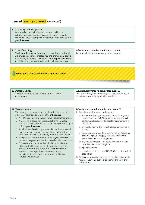### Insured **events covered** (continued)

#### 8 Statutory licence appeals

 An appeal against a formal written proposal by the relevant authority to alter, suspend, revoke or refuse to renew a licence or compulsory registration required to run your business.

#### 9 Loss of earnings

The **insured**'s absence from work to attend court, tribunal, arbitration, regulatory proceedings or a professional body's disciplinary hearing at the request of the appointed advisor or whilst on jury service which results in loss of earnings.

What is not covered under Insured event 9 Any sum which can be recovered from the court.

#### www.gov.uk/jury-service/what-you-can-claim

#### 10 Personal injury

 An event that causes bodily injury to, or the death of, an insured.

#### What is not covered under Insured event 10

Any claim arising from or relating to a condition, illness or disease which develops gradually over time.

#### 11 Executive suite

 This Insured event applies only to the principal, executive officers, directors and partners of your business.

- a) An HMRC enquiry into the executive's personal tax affairs. b) A motoring prosecution that arises from driving for
- personal, social or domestic use, including commuting to or from your business.
- c) A claim that arises from personal identity theft provided that the person claiming has sought and followed advice from the Executive suite identity theft resolution helpline.
- d) A dispute that arises from the terms of your business partnership agreement that is to be referred to mediation.
- e) Crisis communication as described in Insured event 13 below shall be available to the principal, executive officers, directors and partners of the business for matters occurring in their private and personal capacity that cause significant adverse publicity or reputational damage.

#### What is not covered under Insured event 11

- 1) Any claim arising from or relating to:
	- a) tax returns which are submitted late or for any other reason, result in HMRC imposing a penalty or which contain careless and/or deliberate misstatements or omissions
	- b) an investigation by the Fraud Investigation Service of **HMRC**
	- c) circumstances where the Disclosure of Tax Avoidance Scheme Regulations apply or should apply to the executive's financial arrangements
	- d) any enquiry that concerns assets, monies or wealth outside of the United Kingdom
	- e) a parking offence
	- f) costs incurred in excess of £25,000 for a claim under 11 d) and 11 e).
- 2) Crisis communication for a matter that has not actually resulted in adverse publicity appearing online, in print or broadcast.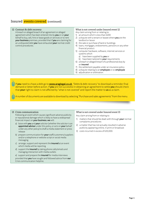### Insured **events covered** (continued)

#### 12 Contract & debt recovery

 A breach or alleged breach of an agreement or alleged agreement which has been entered into by you or on your behalf to buy, sell, hire or lease goods or services or to rent your business premises, provided that if you are claiming for an undisputed debt you have exhausted your normal credit control procedures.

#### What is not covered under Insured event 12

- Any claim arising from or relating to:
- 1) an amount which is less than £200
- 2) a dispute with a tenant or leasee where **you** are the landlord or lessor
- 3) the sale or purchase of land or buildings
- 4) loans, mortgages, endowments, pensions or any other financial product
- 5) computer hardware, software, internet services or systems which
	- a) have been supplied by you or
	- b) have been tailored to your requirements
- 6) a breach or alleged breach of a professional duty by an insured
- 7) the settlement payable under an insurance policy
- 8) a dispute relating to an employee or ex-employee
- 9) adjudication or arbitration.

If you need to chase a debt go to www.araglegal.co.uk, "Debts & debt recovery" to download a reminder, final demand or letter before action. If you are not successful in obtaining an agreement to settle you should check that your right to claim is not affected by "what is not covered" and report the matter to us as a claim.

A number of documents are available to download by selecting "Purchase and sales agreements" from the menu.

#### 13 Crisis communication

Following an event which causes significant adverse publicity or reputational damage which is likely to have a widespread financial impact on your business, we will:

- a) liaise with you and your solicitor (whether the solicitor is an appointed advisor under this policy, or acts on your behalf under any other policy) to draft a media statement or press release
- b) prepare communication for **your** staff/customers/suppliers and/or a telephone or website script or social media messaging
- c) arrange, support and represent the *insured* at an event which media will be reporting
- d) support the insured by taking phone calls/emails and managing interaction with media outlets
- e) support and prepare the *insured* for media interviews

provided that you have sought and followed advice from our Crisis communication helpline.

#### What is not covered under Insured event 13

Any claim arising from or relating to:

- 1) matters that should be dealt with through your normal complaints procedures
- 2) a matter that has not actually resulted in adverse publicity appearing online, in print or broadcast
- 3) costs incurred in excess of £25,000.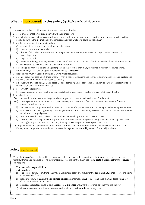### What is not covered by this policy (applicable to the whole policy)

| The insured is not covered for any claim arising from or relating to:                                                                                                                                                                       |
|---------------------------------------------------------------------------------------------------------------------------------------------------------------------------------------------------------------------------------------------|
| costs or compensation awards incurred without our consent<br>1)                                                                                                                                                                             |
| any actual or alleged act, omission or dispute happening before, or existing at the start of the insurance provided by this<br>2)<br>policy, and which the insured knew or ought reasonably to have known could lead to a claim             |
| an allegation against the insured involving:<br>3)                                                                                                                                                                                          |
| assault, violence, malicious falsehood or defamation<br>a)                                                                                                                                                                                  |
| indecent or obscene materials<br>b)                                                                                                                                                                                                         |
| the use of alcohol or its unauthorised or unregulated manufacture, unlicensed dealing in alcohol or dealing in or<br>$\mathsf{C}$<br>using illegal drugs                                                                                    |
| illegal immigration<br>$\mathsf{d}$                                                                                                                                                                                                         |
| money laundering or bribery offences, breaches of international sanctions, fraud, or any other financial crime activities<br>e)<br>except in relation to Insured event 13 Crisis communication                                              |
| defending a claim in respect of damages for personal injury (other than injury to feelings in relation to Insured event 1<br>4)<br>Employment), or loss or damage to property owned by the insured                                          |
| National Minimum Wage and/or National Living Wage Regulations<br>5)                                                                                                                                                                         |
| patents, copyright, passing-off, trade or service marks, registered designs and confidential information (except in relation to<br>6)<br>Insured event 3 Employment restrictive covenants)                                                  |
| a dispute with any subsidiary, parent, associated or sister company or between shareholders or partners (except in relation<br>7)<br>to mediation under Insured event 11 d)                                                                 |
| a) a franchise agreement<br>8)                                                                                                                                                                                                              |
| an agency agreement through which one party has the legal capacity to alter the legal relations of the other<br>b)                                                                                                                          |
| a judicial review<br>9)                                                                                                                                                                                                                     |
| 10) a dispute with us, the insurer or the party who arranged this cover not dealt with under Condition 6                                                                                                                                    |
| ionising radiations or contamination by radioactivity from any nuclear fuel or from any nuclear waste or from the<br>11) a)<br>combustion of nuclear fuel                                                                                   |
| radioactive, toxic, explosive or other hazardous properties of any explosive nuclear assembly or nuclear component thereof<br>b)                                                                                                            |
| war, invasion, act of foreign enemy hostilities (whether war is declared or not), civil war, rebellion, revolution, insurrection<br>$\mathsf{C}$<br>or military or usurped power                                                            |
| pressure waves from aircrafts or other aerial devices travelling at sonic or supersonic speed<br>d)                                                                                                                                         |
| any terrorist action (regardless of any other cause or event contributing concurrently or in any other sequence to the<br>$\epsilon$<br>liability) or any action taken in controlling, funding, preventing or suppressing terrorist action. |

12) The payment of fines, penalties or compensation awarded against the insured (except as covered under Insured event 2 Employment compensation awards); or costs awarded against the *insured* by a court of criminal jurisdiction.

. . . . . i

Policy conditions

Where the insurer's risk is affected by the insured's failure to keep to these conditions the insurer can refuse a claim or withdraw from an ongoing claim. The insurer also reserves the right to claim back legal costs & expenses from the insured if this happens.

#### 1. The insured's responsibilities

An insured must:

- a) tell us immediately of anything that may make it more costly or difficult for the appointed advisor to resolve the claim in the insured's favour
- b) cooperate fully with us, give the appointed advisor any instructions we require, and keep them updated with progress of the claim and not hinder them
- c) take reasonable steps to claim back legal costs & expenses and, where recovered, pay them to the insurer
- d) allow the insurer at any time to take over and conduct in the insured's name, any claim.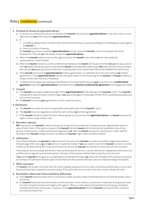### Policy conditions (continued)

#### 2. Freedom to choose an appointed advisor

- a) In certain circumstances as set out in 2.b) below the insured may choose an appointed advisor. In all other cases, no such right exists and we shall choose the appointed advisor.
- b) If:
	- i) a suitably qualified advisor considers that it has become necessary to issue proceedings or proceedings are issued against an insured, or

ii) there is a conflict of interest

the insured may choose a qualified appointed advisor except, where the insured's claim is to be dealt with by the Employment Tribunal, we shall always choose the appointed advisor.

- c) Where the **insured** wishes to exercise the right to choose, the **insured** must write to **us** with their preferred representative's contact details.
- d) Where the *insured* chooses to use their preferred representative, the *insurer* will not pay more than we agree to pay a solicitor from our panel and will pay only the costs that the insurer would have been liable to pay. (Our panel solicitor firms are chosen with care and we agree special terms with them, including rates which may be lower than those available from other firms).
- e) If the insured dismisses the appointed advisor without good reason, or withdraws from the claim without our written agreement, or if the appointed advisor refuses with good reason to continue acting for an insured, the insurer's liability in respect of that claim will end immediately.
- f) In respect of pursuing a claim relating to Insured event 12 Contract & debt recovery you must enter into a conditional fee agreement (unless the appointed advisor has entered into a collective conditional fee agreement) where legally permitted.

#### 3. Consent

- a) The insured must agree to us having sight of the appointed advisor's file relating to the insured's claim. The insured is considered to have provided consent to us or our appointed agent to have sight of their file for auditing and quality and cost control purposes.
- b) An insured must have your agreement to claim under this policy.

#### 4. Settlement

- a) The insurer can settle the claim by paying the reasonable value of the insured's claim.
- b) The insured must not negotiate or settle the claim without our written agreement.
- c) If the insured refuses to settle the claim following advice to do so from the appointed advisor the insurer reserves the right to refuse to pay further costs.

#### 5. Barrister's opinion

We may require the insured to obtain and pay for an opinion from a barrister if a dispute arises regarding the merits or value of their claim. If the opinion supports the insured, then the insurer will reimburse the reasonable costs of that opinion. If that opinion conflicts with advice obtained by us, then the insurer will pay for a final opinion which shall be binding on the insured and us. This does not affect the insured's right under Condition 6 below.

#### 6. Arbitration

If any dispute between the insured and us arises from this policy, the insured can make a complaint to us as described on the back page of this policy and we will try to resolve the matter. If we are unable to satisfy the insured's concerns and the matter can be dealt with by the Financial Ombudsman Service the insured can ask them to arbitrate over the complaint.

 If the dispute cannot be dealt with by the Financial Ombudsman Service, it can be referred for independent arbitration to a qualified person agreed upon by both parties. The loser of the dispute shall be liable to pay the costs incurred.

If we and the insured fail to agree on a suitable person to arbitrate the matter we will ask the President of the relevant Law Society to nominate. The arbitration shall be subject to the Arbitration Acts and the arbitrator's decision shall be binding on the parties.

#### 7. Other insurance

The insurer will not pay more than their fair share (rateable proportion) for any claim covered by another policy, or any claim that would have been covered by any other policy if this policy did not exist; even if the other insurer refuses the claim.

#### 8. Fraudulent claims and claims tainted by dishonesty

- a) If the insured makes any claim which is fraudulent or false, the policy shall immediately become void and all benefit under it will be lost.
- b) An insured shall at all times be entirely truthful and open in any evidence, disclosure or statement they give and shall act with complete honesty and integrity throughout. Where, on the balance of probabilities and having considered carefully all the facts of any claim, it appears to the appointed advisor that the insured has breached this condition and that the breach has: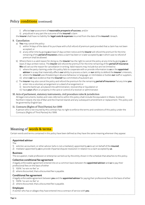### Policy conditions (continued)

i) affected our assessment of reasonable prospects of success, and/or

ii) prejudiced in any part the outcome of the *insured's* claim

the insurer shall have no liability for legal costs & expenses incurred from the date of the insured's breach.

#### 9. Cancellation

- a) You may cancel the policy:
	- i) within 14 days of the date of its purchase with a full refund of premium paid provided that a claim has not been accepted; or
	- ii) at any other time by giving us at least 21 days written notice and the insurer will refund the premium for the time remaining of the **period of insurance** unless a claim has been or is later accepted by us in which case no refund of premium shall be allowed.
- b) Where there is a valid reason for doing so, the insurer has the right to cancel the policy at any time by giving you at least 21 days written notice. The insurer will refund the premium for the time remaining of the period of insurance. We will set out the reason for cancellation in writing. Valid reasons may include but are not limited to:
	- i) where the party claiming under this policy fails to cooperate with or provide information to us or the appointed advisor in a way that materially affects our ability to process a claim, or our ability to defend the insurer's interests,
	- ii) where the *insured* uses threatening or abusive behaviour or language, or intimidates or bullies our staff or suppliers, iii) where we have evidence that the insured has committed a fraudulent act.
- c) The insurer may also cancel the policy and refund the premium for the remaining period of insurance if at any time you: i) enter into a voluntary arrangement or a deed of arrangement or
	- ii) become bankrupt, are placed into administration, receivership or liquidation or
	- iii) have your affairs or property in the care or control of a receiver or administrator.

#### 10. Acts of parliament, statutory instruments, civil procedure rules & jurisdiction All legal instruments, bodies and rules referred to within this policy shall include the equivalent in Wales, Scotland, Northern Ireland, the Isle of Man and the Channel Islands and any subsequent amendment or replacement. This policy will be governed by English law.

11. Contracts (Rights of Third Parties) Act 1999

 A person who is not insured by this contract has no right to enforce the terms and conditions of this policy under the Contracts (Rights of Third Parties) Act 1999.

### Meaning of words & terms

Certain words and terms contained in this policy have been defined as they have the same meaning wherever they appear.

Appointed advisor

- The
- 1) solicitor, accountant, or other advisor (who is not a mediator), appointed by us to act on behalf of the insured;
- 2) mediator appointed by us to provide impartial dispute resolution in relation to a claim accepted by us.

#### Business

The occupation, trade profession or enterprise carried out by the entity shown in the schedule that attaches to this policy.

#### Collective conditional fee agreement

A legally enforceable agreement entered into on a common basis between the **appointed advisor** and us to pay their professional fees on the basis of either

- 1) 100% "no-win no-fee" or
- 2) where discounted, that a discounted fee is payable.

#### Conditional fee agreement

A legally enforceable agreement between you and the appointed advisor for paying their professional fees on the basis of either

- 1) 100% "no-win no-fee" or
- 2) where discounted, that a discounted fee is payable.

#### Employee

A worker who has or alleges they have entered into a contract of service with **vou**.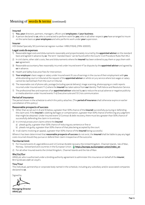### Meaning of words & terms (continued)

#### Insured

- 1) You, your directors, partners, managers, officers and employees of your business.
- 2) A person declared to us, who is contracted to perform work for you, who in all other respects you have arranged to insure on the same basis as **your employees** and who performs work under **your** supervision.

#### Insurer

HDI Global Specialty SE (commercial register number: HRB 211924), (FRN: 659331).

#### Legal costs & expenses

- Reasonable legal costs and disbursements reasonably and proportionately incurred by the **appointed advisor** on the standard basis and agreed in advance by us. The term "standard basis" can be found within the Courts' Civil Procedure Rules Part 44.2.
- 2) In civil claims, other side's costs, fees and disbursements where the *insured* has been ordered to pay them or pays them with our agreement.
- 3) Reasonable accountancy fees reasonably incurred under Insured event 4 Tax disputes by the **appointed advisor** and agreed by us in advance.
- 4) Health and Safety Executive Fees for Intervention.
- 5) Your employee's basic wages or salary under Insured event 9 Loss of earnings in the course of their employment with you while attending court or tribunal at the request of the appointed advisor or whilst on jury service where lost wages or salary cannot be claimed back from the court or tribunal.
- 6) The reasonable cost of phone calls, postage (including special delivery), image scanning, photocopying or credit reports incurred under Insured event 11 c) where the insured has taken advice from our Identity Theft Advice and Resolution Service.
- 7) The professional fees and expenses of an appointed advisor selected by us to reduce the actual adverse or negative publicity or media attention under Insured events 11 e) Executive suite and 13 Crisis communication.

#### Period of insurance

The period shown in the schedule to which this policy attaches. (The **period of insurance** shall otherwise expire on earlier cancellation of this policy.)

#### Reasonable prospects of success

- 1) Other than as set out in 2) and 3) below, a greater than 50% chance of the insured successfully pursuing or defending the claim and, if the **insured** is seeking damages or compensation, a greater than 50% chance of enforcing any judgment that might be obtained. Under Insured event 12 Contract & debt recovery, there must be a greater than 50% chance of successfully defending the claim in its entirety.
- 2) In criminal prosecution claims where the insured
	- a) pleads guilty, a greater than 50% chance of reducing any sentence or fine or
	- b) pleads not guilty, a greater than 50% chance of that plea being accepted by the court.
- 3) In all claims involving an appeal, a greater than 50% chance of the insured being successful.

Where it has been determined that reasonable prospects of success do not exist, the insured shall be liable to pay any legal costs incurred should they pursue or defend their claim irrespective of the outcome.

#### Territorial limit

- 1) For Insured events 6 Legal defence and 12 Contract & debt recovery the United Kingdom, Channel Islands, Isle of Man, Norway, Switzerland and countries in the European Union. **https://europa.eu/european-union/index\_en**
- 2) For all other Insured events the United Kingdom, Channel Islands and the Isle of Man.

#### We/Us/Our

ARAG plc who is authorised under a binding authority agreement to administer this insurance on behalf of the insurer, Brit Syndicate 2987 at Lloyd's.

#### You/Your

The individual, partnership or corporate body named in the schedule, including any subsidiary and/or associated companies declared to us.

Signed by

Managing Director ARAG plc